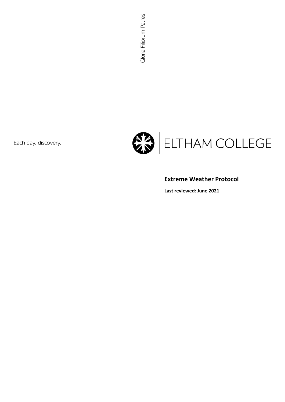Each day, discovery.



# **Extreme Weather Protocol**

**Last reviewed: June 2021**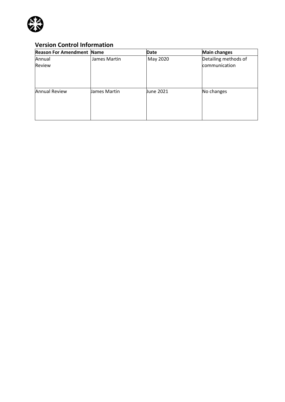

# **Version Control Information**

| <b>Reason For Amendment Name</b> |              | Date      | <b>Main changes</b>  |
|----------------------------------|--------------|-----------|----------------------|
| Annual                           | James Martin | May 2020  | Detailing methods of |
| Review                           |              |           | communication        |
| <b>Annual Review</b>             | James Martin | June 2021 | No changes           |